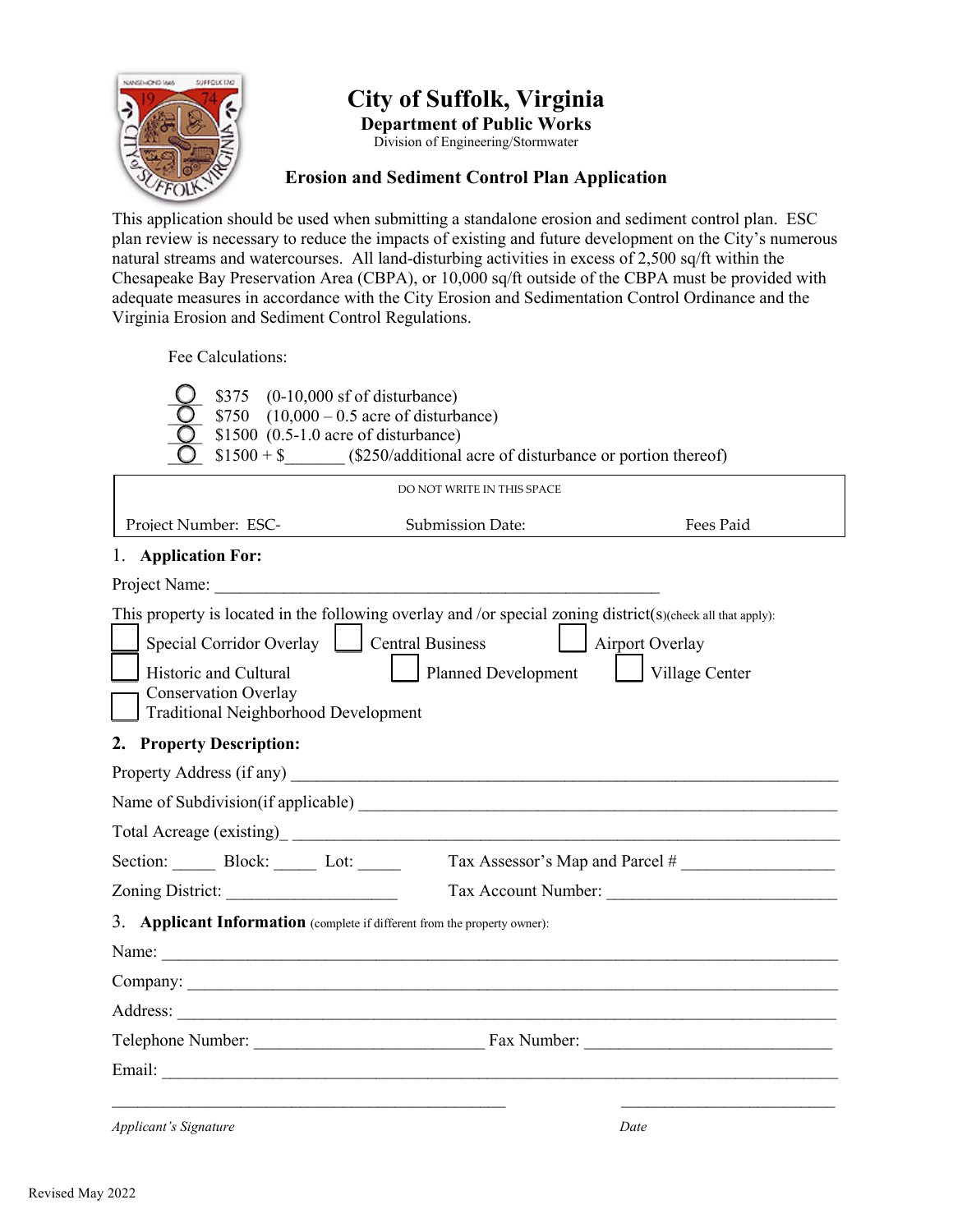

# **City of Suffolk, Virginia**

**Department of Public Works** Division of Engineering/Stormwater

#### **Erosion and Sediment Control Plan Application**

This application should be used when submitting a standalone erosion and sediment control plan. ESC plan review is necessary to reduce the impacts of existing and future development on the City's numerous natural streams and watercourses. All land-disturbing activities in excess of 2,500 sq/ft within the Chesapeake Bay Preservation Area (CBPA), or 10,000 sq/ft outside of the CBPA must be provided with adequate measures in accordance with the City Erosion and Sedimentation Control Ordinance and the Virginia Erosion and Sediment Control Regulations.

Fee Calculations:

| \$375<br>$(0-10,000 \text{ sf of disturbance})$<br>\$750 $(10,000 - 0.5)$ acre of disturbance)<br>$$1500$ (0.5-1.0 acre of disturbance)<br>$$1500 + $$ (\$250/additional acre of disturbance or portion thereof)                                           |                            |                                       |
|------------------------------------------------------------------------------------------------------------------------------------------------------------------------------------------------------------------------------------------------------------|----------------------------|---------------------------------------|
|                                                                                                                                                                                                                                                            | DO NOT WRITE IN THIS SPACE |                                       |
| Project Number: ESC-<br>Submission Date:                                                                                                                                                                                                                   |                            | Fees Paid                             |
| 1. Application For:                                                                                                                                                                                                                                        |                            |                                       |
| Project Name:                                                                                                                                                                                                                                              |                            |                                       |
| This property is located in the following overlay and /or special zoning district(s)(check all that apply):<br>Special Corridor Overlay   Central Business<br>Historic and Cultural<br>Conservation Overlay<br><b>Traditional Neighborhood Development</b> | Planned Development        | Airport Overlay<br>    Village Center |
| 2. Property Description:                                                                                                                                                                                                                                   |                            |                                       |
|                                                                                                                                                                                                                                                            |                            |                                       |
|                                                                                                                                                                                                                                                            |                            |                                       |
|                                                                                                                                                                                                                                                            |                            |                                       |
| Section: Block: Lot:                                                                                                                                                                                                                                       |                            | Tax Assessor's Map and Parcel #       |
|                                                                                                                                                                                                                                                            |                            |                                       |
| 3. Applicant Information (complete if different from the property owner):<br>Name:                                                                                                                                                                         |                            |                                       |
|                                                                                                                                                                                                                                                            |                            |                                       |
|                                                                                                                                                                                                                                                            |                            |                                       |
|                                                                                                                                                                                                                                                            |                            |                                       |
| <b>Applicant's Signature</b>                                                                                                                                                                                                                               |                            | Date                                  |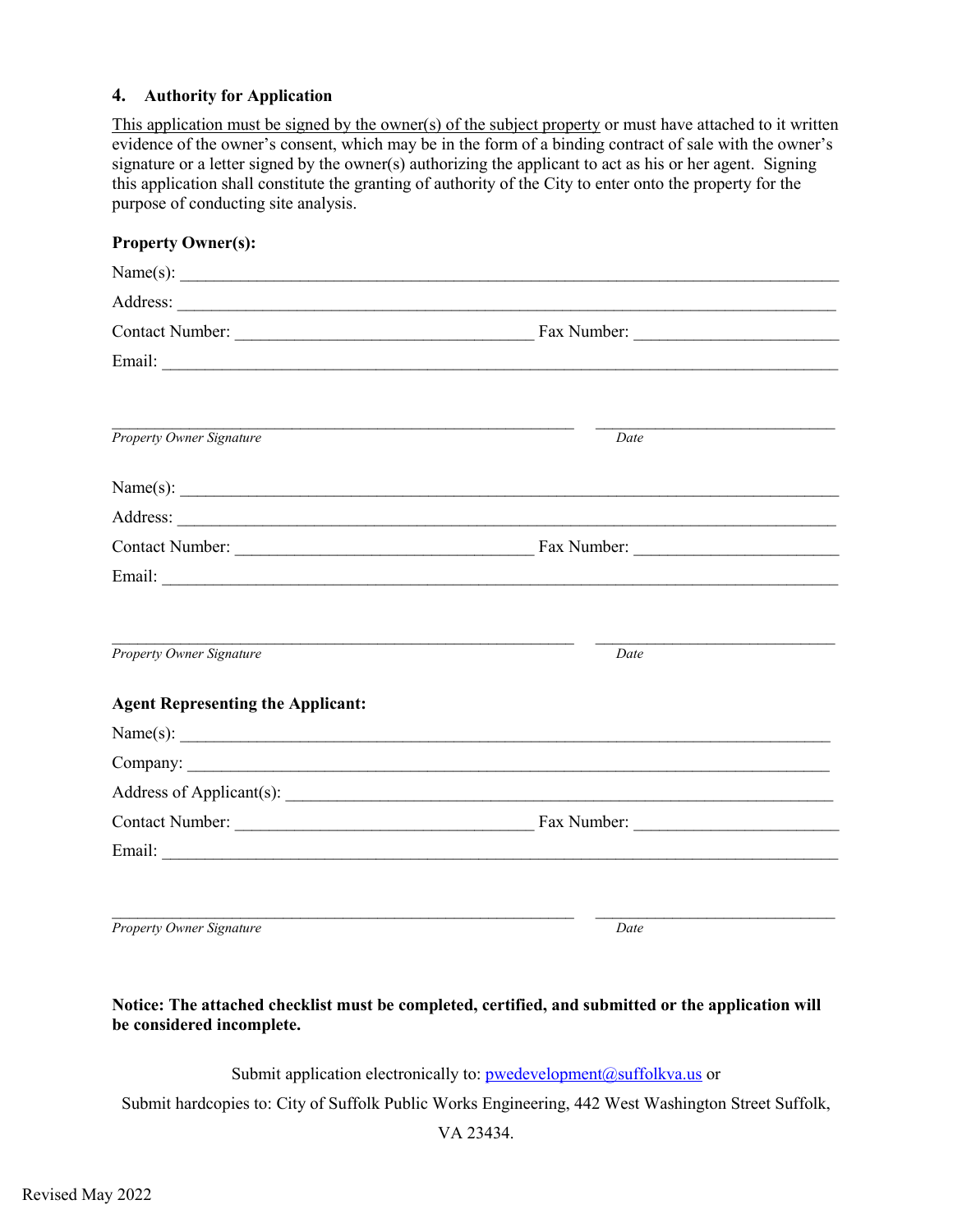#### **4. Authority for Application**

This application must be signed by the owner(s) of the subject property or must have attached to it written evidence of the owner's consent, which may be in the form of a binding contract of sale with the owner's signature or a letter signed by the owner(s) authorizing the applicant to act as his or her agent. Signing this application shall constitute the granting of authority of the City to enter onto the property for the purpose of conducting site analysis.

| <b>Property Owner(s):</b>                |      |  |
|------------------------------------------|------|--|
| Name(s): $\qquad \qquad$                 |      |  |
|                                          |      |  |
|                                          |      |  |
|                                          |      |  |
| <b>Property Owner Signature</b>          | Date |  |
| Name(s): $\qquad \qquad$                 |      |  |
|                                          |      |  |
|                                          |      |  |
|                                          |      |  |
| <b>Property Owner Signature</b>          | Date |  |
| <b>Agent Representing the Applicant:</b> |      |  |
| Name(s): $\qquad \qquad$                 |      |  |
|                                          |      |  |
|                                          |      |  |
|                                          |      |  |
|                                          |      |  |
| <b>Property Owner Signature</b>          | Date |  |

#### **Notice: The attached checklist must be completed, certified, and submitted or the application will be considered incomplete.**

Submit application electronically to: [pwedevelopment@suffolkva.us o](mailto:pwedevelopment@suffolkva.us)r

Submit hardcopies to: City of Suffolk Public Works Engineering, 442 West Washington Street Suffolk,

VA 23434.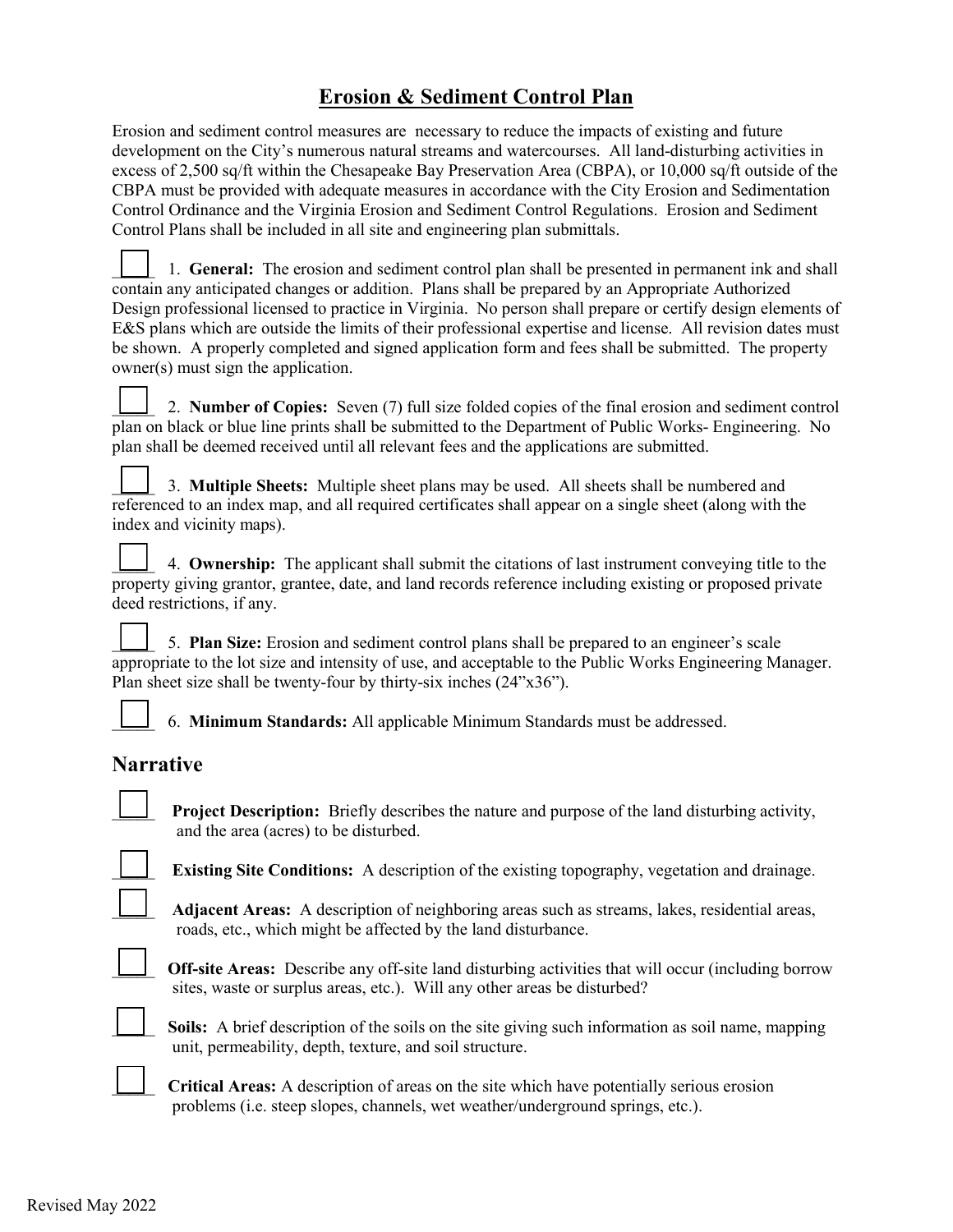## **Erosion & Sediment Control Plan**

Erosion and sediment control measures are necessary to reduce the impacts of existing and future development on the City's numerous natural streams and watercourses. All land-disturbing activities in excess of 2,500 sq/ft within the Chesapeake Bay Preservation Area (CBPA), or 10,000 sq/ft outside of the CBPA must be provided with adequate measures in accordance with the City Erosion and Sedimentation Control Ordinance and the Virginia Erosion and Sediment Control Regulations. Erosion and Sediment Control Plans shall be included in all site and engineering plan submittals.

\_\_\_\_\_ 1. **General:** The erosion and sediment control plan shall be presented in permanent ink and shall contain any anticipated changes or addition. Plans shall be prepared by an Appropriate Authorized Design professional licensed to practice in Virginia. No person shall prepare or certify design elements of E&S plans which are outside the limits of their professional expertise and license. All revision dates must be shown. A properly completed and signed application form and fees shall be submitted. The property owner(s) must sign the application.

\_\_\_\_\_ 2. **Number of Copies:** Seven (7) full size folded copies of the final erosion and sediment control plan on black or blue line prints shall be submitted to the Department of Public Works- Engineering. No plan shall be deemed received until all relevant fees and the applications are submitted.

\_\_\_\_\_ 3. **Multiple Sheets:** Multiple sheet plans may be used. All sheets shall be numbered and referenced to an index map, and all required certificates shall appear on a single sheet (along with the index and vicinity maps).

\_\_\_\_\_ 4. **Ownership:** The applicant shall submit the citations of last instrument conveying title to the property giving grantor, grantee, date, and land records reference including existing or proposed private deed restrictions, if any.

\_\_\_\_\_ 5. **Plan Size:** Erosion and sediment control plans shall be prepared to an engineer's scale appropriate to the lot size and intensity of use, and acceptable to the Public Works Engineering Manager. Plan sheet size shall be twenty-four by thirty-six inches (24"x36").

\_\_\_\_\_ 6. **Minimum Standards:** All applicable Minimum Standards must be addressed.

### **Narrative**

**Project Description:** Briefly describes the nature and purpose of the land disturbing activity, and the area (acres) to be disturbed.

**Existing Site Conditions:** A description of the existing topography, vegetation and drainage.

\_\_\_\_\_ **Adjacent Areas:** A description of neighboring areas such as streams, lakes, residential areas, roads, etc., which might be affected by the land disturbance.



**Off-site Areas:** Describe any off-site land disturbing activities that will occur (including borrow sites, waste or surplus areas, etc.). Will any other areas be disturbed?



**Soils:** A brief description of the soils on the site giving such information as soil name, mapping unit, permeability, depth, texture, and soil structure.

\_\_\_\_\_ **Critical Areas:** A description of areas on the site which have potentially serious erosion problems (i.e. steep slopes, channels, wet weather/underground springs, etc.).